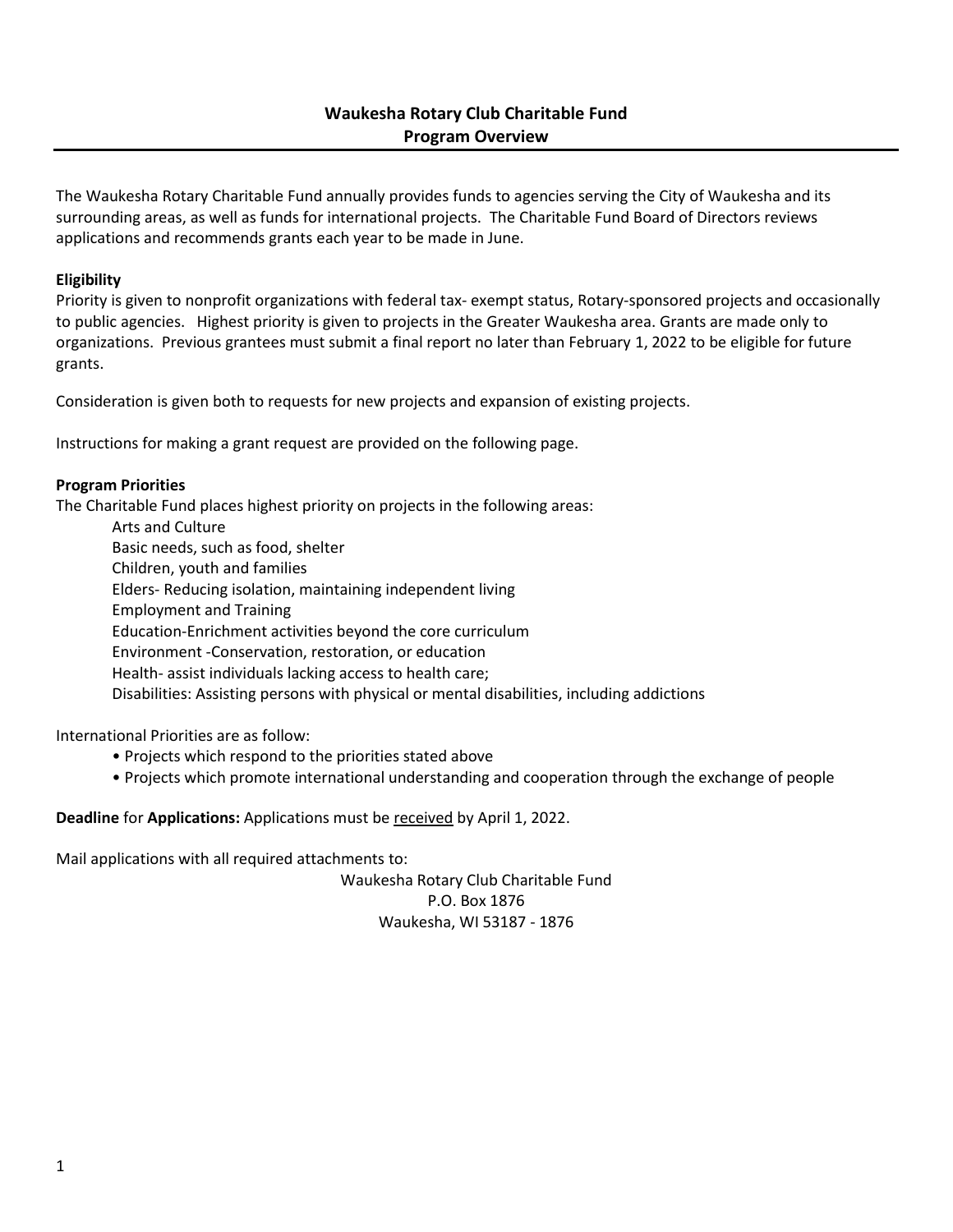The Waukesha Rotary Charitable Fund annually provides funds to agencies serving the City of Waukesha and its surrounding areas, as well as funds for international projects. The Charitable Fund Board of Directors reviews applications and recommends grants each year to be made in June.

## **Eligibility**

Priority is given to nonprofit organizations with federal tax- exempt status, Rotary-sponsored projects and occasionally to public agencies. Highest priority is given to projects in the Greater Waukesha area. Grants are made only to organizations. Previous grantees must submit a final report no later than February 1, 2022 to be eligible for future grants.

Consideration is given both to requests for new projects and expansion of existing projects.

Instructions for making a grant request are provided on the following page.

### **Program Priorities**

The Charitable Fund places highest priority on projects in the following areas:

Arts and Culture Basic needs, such as food, shelter Children, youth and families Elders- Reducing isolation, maintaining independent living Employment and Training Education-Enrichment activities beyond the core curriculum Environment -Conservation, restoration, or education Health- assist individuals lacking access to health care; Disabilities: Assisting persons with physical or mental disabilities, including addictions

International Priorities are as follow:

- Projects which respond to the priorities stated above
- Projects which promote international understanding and cooperation through the exchange of people

**Deadline** for **Applications:** Applications must be received by April 1, 2022.

Mail applications with all required attachments to:

Waukesha Rotary Club Charitable Fund P.O. Box 1876 Waukesha, WI 53187 - 1876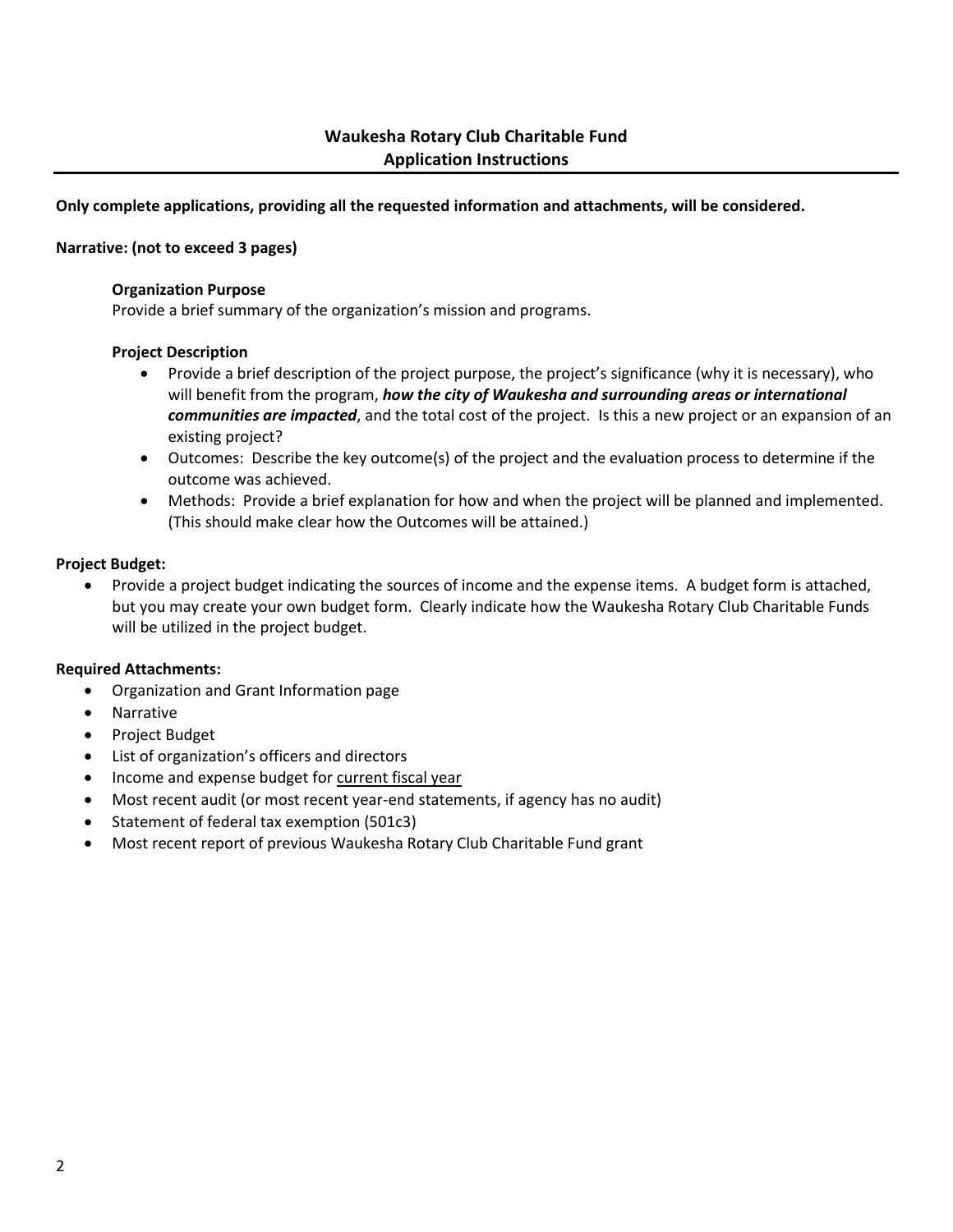## **Only complete applications, providing all the requested information and attachments, will be considered.**

#### **Narrative: (not to exceed 3 pages)**

#### **Organization Purpose**

Provide a brief summary of the organization's mission and programs.

#### **Project Description**

- Provide a brief description of the project purpose, the project's significance (why it is necessary), who will benefit from the program, *how the city of Waukesha and surrounding areas or international communities are impacted*, and the total cost of the project. Is this a new project or an expansion of an existing project?
- Outcomes: Describe the key outcome(s) of the project and the evaluation process to determine if the outcome was achieved.
- Methods: Provide a brief explanation for how and when the project will be planned and implemented. (This should make clear how the Outcomes will be attained.)

#### **Project Budget:**

• Provide a project budget indicating the sources of income and the expense items. A budget form is attached, but you may create your own budget form. Clearly indicate how the Waukesha Rotary Club Charitable Funds will be utilized in the project budget.

#### **Required Attachments:**

- Organization and Grant Information page
- Narrative
- Project Budget
- List of organization's officers and directors
- Income and expense budget for current fiscal year
- Most recent audit (or most recent year-end statements, if agency has no audit)
- Statement of federal tax exemption (501c3)
- Most recent report of previous Waukesha Rotary Club Charitable Fund grant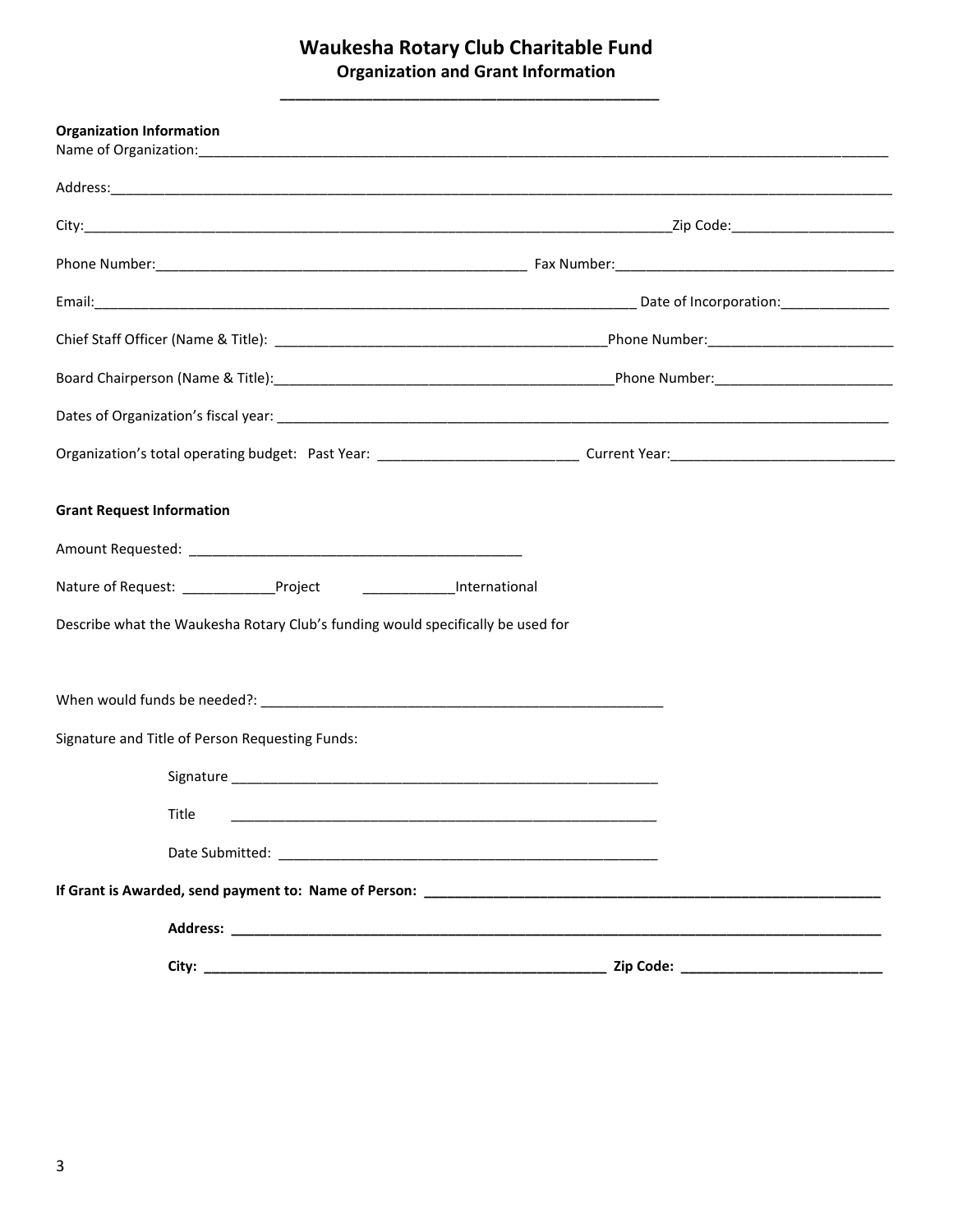## **Waukesha Rotary Club Charitable Fund Organization and Grant Information**

**\_\_\_\_\_\_\_\_\_\_\_\_\_\_\_\_\_\_\_\_\_\_\_\_\_\_\_\_\_\_\_\_\_\_\_\_\_\_\_\_\_\_\_\_\_\_\_\_\_**

| <b>Organization Information</b>                                                 |                                           |  |
|---------------------------------------------------------------------------------|-------------------------------------------|--|
|                                                                                 |                                           |  |
|                                                                                 |                                           |  |
|                                                                                 |                                           |  |
|                                                                                 |                                           |  |
|                                                                                 |                                           |  |
|                                                                                 |                                           |  |
|                                                                                 |                                           |  |
|                                                                                 |                                           |  |
| <b>Grant Request Information</b>                                                |                                           |  |
|                                                                                 |                                           |  |
| Nature of Request: _______________Project ______________________International   |                                           |  |
| Describe what the Waukesha Rotary Club's funding would specifically be used for |                                           |  |
|                                                                                 |                                           |  |
|                                                                                 |                                           |  |
| Signature and Title of Person Requesting Funds:                                 |                                           |  |
|                                                                                 |                                           |  |
| Title                                                                           |                                           |  |
|                                                                                 |                                           |  |
|                                                                                 |                                           |  |
|                                                                                 |                                           |  |
|                                                                                 | Zip Code: _______________________________ |  |